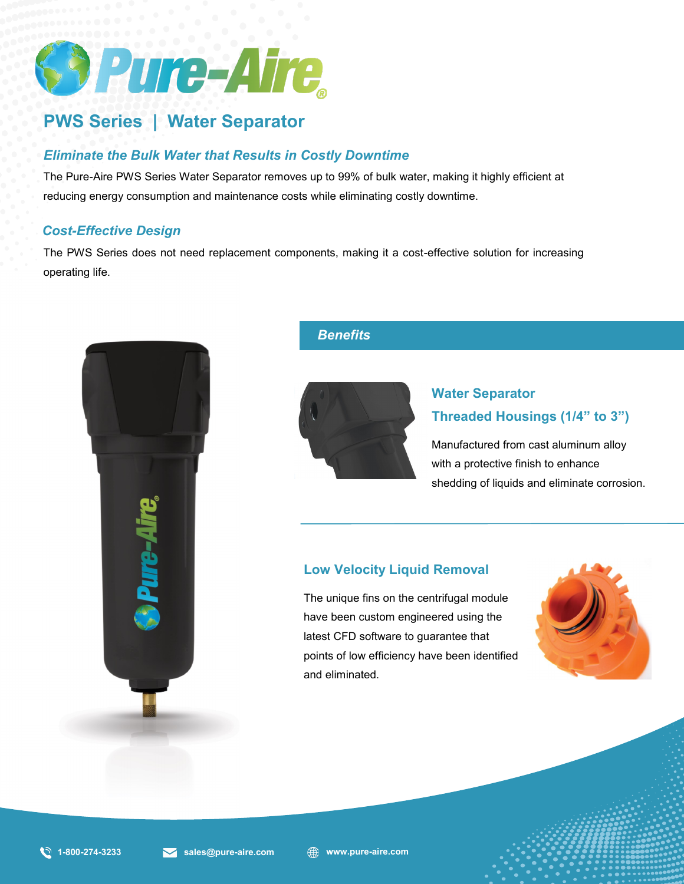

# **PWS Series | Water Separator**

## *Eliminate the Bulk Water that Results in Costly Downtime*

The Pure-Aire PWS Series Water Separator removes up to 99% of bulk water, making it highly efficient at reducing energy consumption and maintenance costs while eliminating costly downtime.

#### *Cost-Effective Design*

*Benefits and Standard Features* The PWS Series does not need replacement components, making it a cost-effective solution for increasing operating life.



### *Benefits*



## **Water Separator Threaded Housings (1/4" to 3")**

Manufactured from cast aluminum alloy with a protective finish to enhance shedding of liquids and eliminate corrosion.

## **Low Velocity Liquid Removal**

The unique fins on the centrifugal module have been custom engineered using the latest CFD software to guarantee that points of low efficiency have been identified and eliminated.